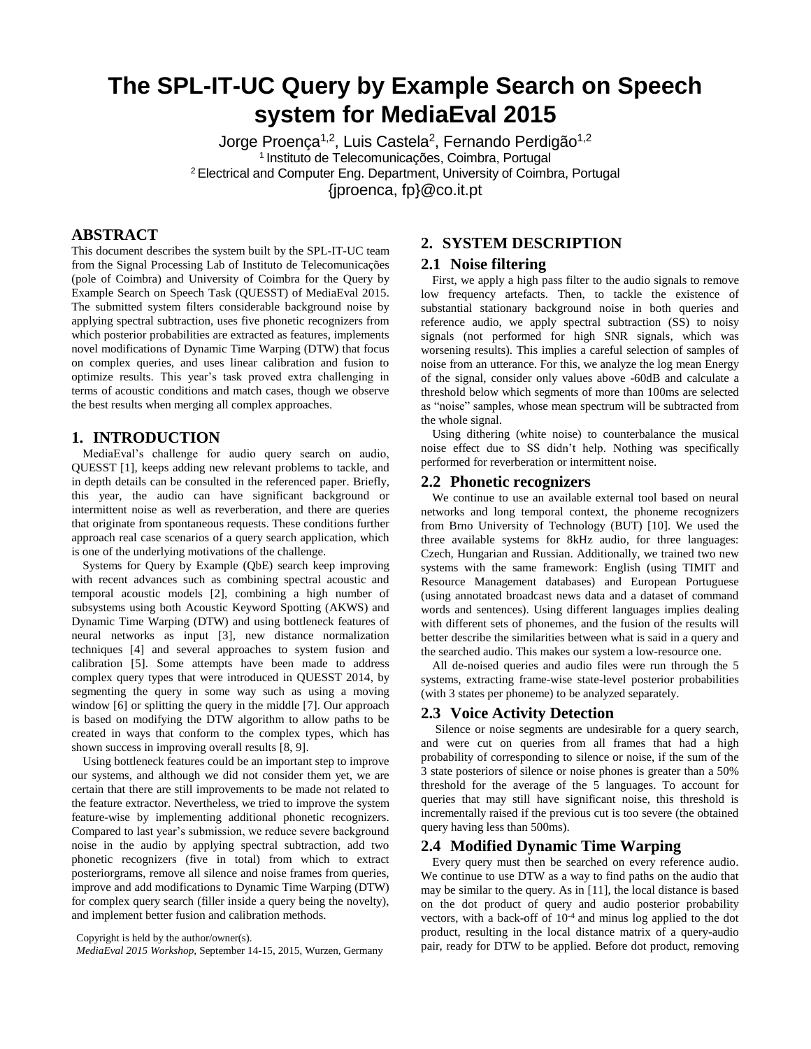# **The SPL-IT-UC Query by Example Search on Speech system for MediaEval 2015**

Jorge Proença<sup>1,2</sup>, Luis Castela<sup>2</sup>, Fernando Perdigão<sup>1,2</sup> <sup>1</sup>Instituto de Telecomunicações, Coimbra, Portugal <sup>2</sup>Electrical and Computer Eng. Department, University of Coimbra, Portugal {jproenca, fp}@co.it.pt

# **ABSTRACT**

This document describes the system built by the SPL-IT-UC team from the Signal Processing Lab of Instituto de Telecomunicações (pole of Coimbra) and University of Coimbra for the Query by Example Search on Speech Task (QUESST) of MediaEval 2015. The submitted system filters considerable background noise by applying spectral subtraction, uses five phonetic recognizers from which posterior probabilities are extracted as features, implements novel modifications of Dynamic Time Warping (DTW) that focus on complex queries, and uses linear calibration and fusion to optimize results. This year's task proved extra challenging in terms of acoustic conditions and match cases, though we observe the best results when merging all complex approaches.

## **1. INTRODUCTION**

MediaEval's challenge for audio query search on audio, QUESST [1], keeps adding new relevant problems to tackle, and in depth details can be consulted in the referenced paper. Briefly, this year, the audio can have significant background or intermittent noise as well as reverberation, and there are queries that originate from spontaneous requests. These conditions further approach real case scenarios of a query search application, which is one of the underlying motivations of the challenge.

Systems for Query by Example (QbE) search keep improving with recent advances such as combining spectral acoustic and temporal acoustic models [2], combining a high number of subsystems using both Acoustic Keyword Spotting (AKWS) and Dynamic Time Warping (DTW) and using bottleneck features of neural networks as input [3], new distance normalization techniques [4] and several approaches to system fusion and calibration [5]. Some attempts have been made to address complex query types that were introduced in QUESST 2014, by segmenting the query in some way such as using a moving window [6] or splitting the query in the middle [7]. Our approach is based on modifying the DTW algorithm to allow paths to be created in ways that conform to the complex types, which has shown success in improving overall results [8, 9].

Using bottleneck features could be an important step to improve our systems, and although we did not consider them yet, we are certain that there are still improvements to be made not related to the feature extractor. Nevertheless, we tried to improve the system feature-wise by implementing additional phonetic recognizers. Compared to last year's submission, we reduce severe background noise in the audio by applying spectral subtraction, add two phonetic recognizers (five in total) from which to extract posteriorgrams, remove all silence and noise frames from queries, improve and add modifications to Dynamic Time Warping (DTW) for complex query search (filler inside a query being the novelty), and implement better fusion and calibration methods.

#### Copyright is held by the author/owner(s).

*MediaEval 2015 Workshop,* September 14-15, 2015, Wurzen, Germany

# **2. SYSTEM DESCRIPTION**

#### **2.1 Noise filtering**

First, we apply a high pass filter to the audio signals to remove low frequency artefacts. Then, to tackle the existence of substantial stationary background noise in both queries and reference audio, we apply spectral subtraction (SS) to noisy signals (not performed for high SNR signals, which was worsening results). This implies a careful selection of samples of noise from an utterance. For this, we analyze the log mean Energy of the signal, consider only values above -60dB and calculate a threshold below which segments of more than 100ms are selected as "noise" samples, whose mean spectrum will be subtracted from the whole signal.

Using dithering (white noise) to counterbalance the musical noise effect due to SS didn't help. Nothing was specifically performed for reverberation or intermittent noise.

#### **2.2 Phonetic recognizers**

We continue to use an available external tool based on neural networks and long temporal context, the phoneme recognizers from Brno University of Technology (BUT) [10]. We used the three available systems for 8kHz audio, for three languages: Czech, Hungarian and Russian. Additionally, we trained two new systems with the same framework: English (using TIMIT and Resource Management databases) and European Portuguese (using annotated broadcast news data and a dataset of command words and sentences). Using different languages implies dealing with different sets of phonemes, and the fusion of the results will better describe the similarities between what is said in a query and the searched audio. This makes our system a low-resource one.

All de-noised queries and audio files were run through the 5 systems, extracting frame-wise state-level posterior probabilities (with 3 states per phoneme) to be analyzed separately.

## **2.3 Voice Activity Detection**

Silence or noise segments are undesirable for a query search, and were cut on queries from all frames that had a high probability of corresponding to silence or noise, if the sum of the 3 state posteriors of silence or noise phones is greater than a 50% threshold for the average of the 5 languages. To account for queries that may still have significant noise, this threshold is incrementally raised if the previous cut is too severe (the obtained query having less than 500ms).

#### **2.4 Modified Dynamic Time Warping**

Every query must then be searched on every reference audio. We continue to use DTW as a way to find paths on the audio that may be similar to the query. As in [11], the local distance is based on the dot product of query and audio posterior probability vectors, with a back-off of 10-4 and minus log applied to the dot product, resulting in the local distance matrix of a query-audio pair, ready for DTW to be applied. Before dot product, removing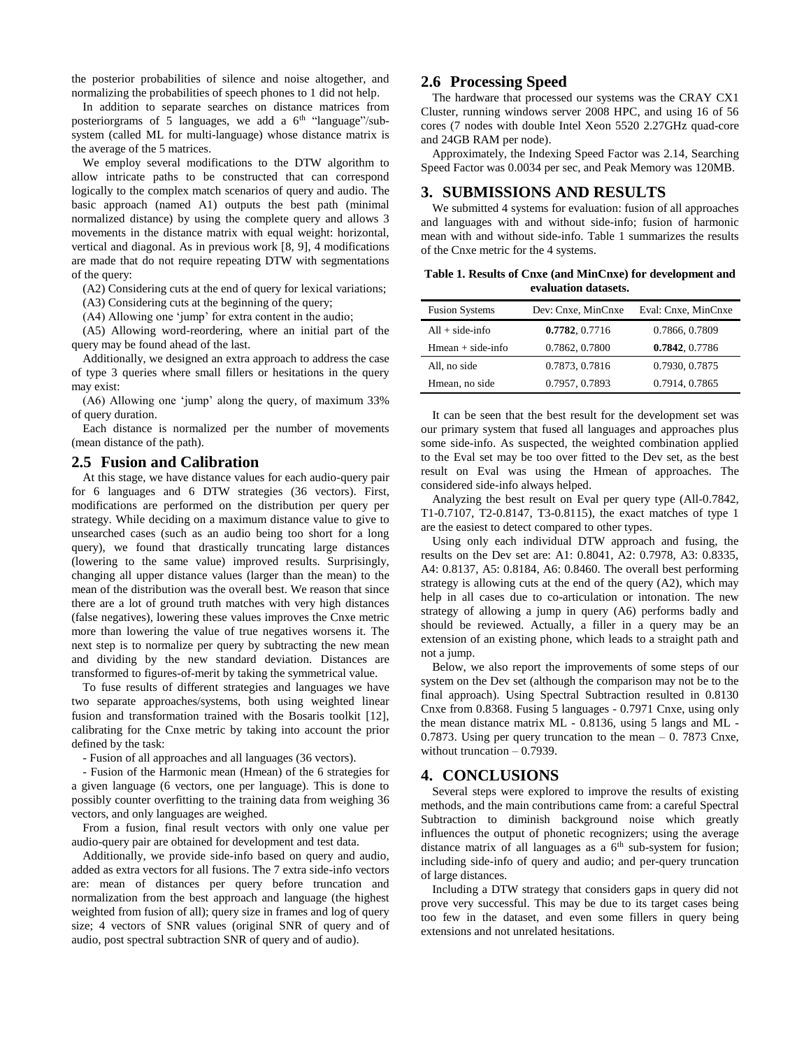the posterior probabilities of silence and noise altogether, and normalizing the probabilities of speech phones to 1 did not help.

In addition to separate searches on distance matrices from posteriorgrams of 5 languages, we add a  $6<sup>th</sup>$  "language"/subsystem (called ML for multi-language) whose distance matrix is the average of the 5 matrices.

We employ several modifications to the DTW algorithm to allow intricate paths to be constructed that can correspond logically to the complex match scenarios of query and audio. The basic approach (named A1) outputs the best path (minimal normalized distance) by using the complete query and allows 3 movements in the distance matrix with equal weight: horizontal, vertical and diagonal. As in previous work [8, 9], 4 modifications are made that do not require repeating DTW with segmentations of the query:

(A2) Considering cuts at the end of query for lexical variations;

(A3) Considering cuts at the beginning of the query;

(A4) Allowing one 'jump' for extra content in the audio;

(A5) Allowing word-reordering, where an initial part of the query may be found ahead of the last.

Additionally, we designed an extra approach to address the case of type 3 queries where small fillers or hesitations in the query may exist:

(A6) Allowing one 'jump' along the query, of maximum 33% of query duration.

Each distance is normalized per the number of movements (mean distance of the path).

# **2.5 Fusion and Calibration**

At this stage, we have distance values for each audio-query pair for 6 languages and 6 DTW strategies (36 vectors). First, modifications are performed on the distribution per query per strategy. While deciding on a maximum distance value to give to unsearched cases (such as an audio being too short for a long query), we found that drastically truncating large distances (lowering to the same value) improved results. Surprisingly, changing all upper distance values (larger than the mean) to the mean of the distribution was the overall best. We reason that since there are a lot of ground truth matches with very high distances (false negatives), lowering these values improves the Cnxe metric more than lowering the value of true negatives worsens it. The next step is to normalize per query by subtracting the new mean and dividing by the new standard deviation. Distances are transformed to figures-of-merit by taking the symmetrical value.

To fuse results of different strategies and languages we have two separate approaches/systems, both using weighted linear fusion and transformation trained with the Bosaris toolkit [12], calibrating for the Cnxe metric by taking into account the prior defined by the task:

- Fusion of all approaches and all languages (36 vectors).

- Fusion of the Harmonic mean (Hmean) of the 6 strategies for a given language (6 vectors, one per language). This is done to possibly counter overfitting to the training data from weighing 36 vectors, and only languages are weighed.

From a fusion, final result vectors with only one value per audio-query pair are obtained for development and test data.

Additionally, we provide side-info based on query and audio, added as extra vectors for all fusions. The 7 extra side-info vectors are: mean of distances per query before truncation and normalization from the best approach and language (the highest weighted from fusion of all); query size in frames and log of query size; 4 vectors of SNR values (original SNR of query and of audio, post spectral subtraction SNR of query and of audio).

## **2.6 Processing Speed**

The hardware that processed our systems was the CRAY CX1 Cluster, running windows server 2008 HPC, and using 16 of 56 cores (7 nodes with double Intel Xeon 5520 2.27GHz quad-core and 24GB RAM per node).

Approximately, the Indexing Speed Factor was 2.14, Searching Speed Factor was 0.0034 per sec, and Peak Memory was 120MB.

#### **3. SUBMISSIONS AND RESULTS**

We submitted 4 systems for evaluation: fusion of all approaches and languages with and without side-info; fusion of harmonic mean with and without side-info. Table 1 summarizes the results of the Cnxe metric for the 4 systems.

**Table 1. Results of Cnxe (and MinCnxe) for development and evaluation datasets.** 

| <b>Fusion Systems</b> | Dev: Cnxe, MinCnxe | Eval: Cnxe, MinCnxe |
|-----------------------|--------------------|---------------------|
| $All + side$ -info    | 0.7782, 0.7716     | 0.7866, 0.7809      |
| $Hmean + side$ -info  | 0.7862, 0.7800     | 0.7842, 0.7786      |
| All, no side          | 0.7873, 0.7816     | 0.7930, 0.7875      |
| Hmean, no side        | 0.7957, 0.7893     | 0.7914, 0.7865      |

It can be seen that the best result for the development set was our primary system that fused all languages and approaches plus some side-info. As suspected, the weighted combination applied to the Eval set may be too over fitted to the Dev set, as the best result on Eval was using the Hmean of approaches. The considered side-info always helped.

Analyzing the best result on Eval per query type (All-0.7842, T1-0.7107, T2-0.8147, T3-0.8115), the exact matches of type 1 are the easiest to detect compared to other types.

Using only each individual DTW approach and fusing, the results on the Dev set are: A1: 0.8041, A2: 0.7978, A3: 0.8335, A4: 0.8137, A5: 0.8184, A6: 0.8460. The overall best performing strategy is allowing cuts at the end of the query (A2), which may help in all cases due to co-articulation or intonation. The new strategy of allowing a jump in query (A6) performs badly and should be reviewed. Actually, a filler in a query may be an extension of an existing phone, which leads to a straight path and not a jump.

Below, we also report the improvements of some steps of our system on the Dev set (although the comparison may not be to the final approach). Using Spectral Subtraction resulted in 0.8130 Cnxe from 0.8368. Fusing 5 languages - 0.7971 Cnxe, using only the mean distance matrix ML - 0.8136, using 5 langs and ML - 0.7873. Using per query truncation to the mean – 0. 7873 Cnxe, without truncation – 0.7939.

# **4. CONCLUSIONS**

Several steps were explored to improve the results of existing methods, and the main contributions came from: a careful Spectral Subtraction to diminish background noise which greatly influences the output of phonetic recognizers; using the average distance matrix of all languages as a  $6<sup>th</sup>$  sub-system for fusion; including side-info of query and audio; and per-query truncation of large distances.

Including a DTW strategy that considers gaps in query did not prove very successful. This may be due to its target cases being too few in the dataset, and even some fillers in query being extensions and not unrelated hesitations.